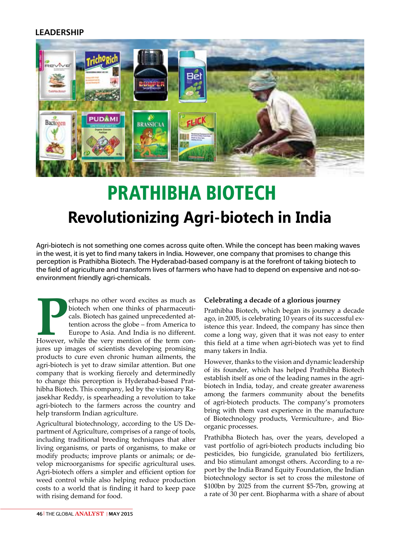# **LEADERSHIP**



# PRATHIBHA BIOTECH **Revolutionizing Agri-biotech in India**

**Agri-biotech is not something one comes across quite often. While the concept has been making waves in the west, it is yet to find many takers in India. However, one company that promises to change this perception is Prathibha Biotech. The Hyderabad-based company is at the forefront of taking biotech to the field of agriculture and transform lives of farmers who have had to depend on expensive and not-soenvironment friendly agri-chemicals.** 

**PERION SERVICE SERVICES AS MODE SERVICES AND SURVEY CALCONDED ASSESSIGNMENT OF THE VALUATION OF THE VALUATION OF THE VALUATION OF THE VALUATION OF THE VALUATION OF THE VALUATION OF THE VALUATION OF THE VALUATION OF THE VA** erhaps no other word excites as much as biotech when one thinks of pharmaceuticals. Biotech has gained unprecedented attention across the globe – from America to Europe to Asia. And India is no different. jures up images of scientists developing promising products to cure even chronic human ailments, the agri-biotech is yet to draw similar attention. But one company that is working fiercely and determinedly to change this perception is Hyderabad-based Prathibha Biotech. This company, led by the visionary Rajasekhar Reddy, is spearheading a revolution to take agri-biotech to the farmers across the country and help transform Indian agriculture.

Agricultural biotechnology, according to the US Department of Agriculture, comprises of a range of tools, including traditional breeding techniques that alter living organisms, or parts of organisms, to make or modify products; improve plants or animals; or develop microorganisms for specific agricultural uses. Agri-biotech offers a simpler and efficient option for weed control while also helping reduce production costs to a world that is finding it hard to keep pace with rising demand for food.

### **Celebrating a decade of a glorious journey**

Prathibha Biotech, which began its journey a decade ago, in 2005, is celebrating 10 years of its successful existence this year. Indeed, the company has since then come a long way, given that it was not easy to enter this field at a time when agri-biotech was yet to find many takers in India.

However, thanks to the vision and dynamic leadership of its founder, which has helped Prathibha Biotech establish itself as one of the leading names in the agribiotech in India, today, and create greater awareness among the farmers community about the benefits of agri-biotech products. The company's promoters bring with them vast experience in the manufacture of Biotechnology products, Vermiculture-, and Bioorganic processes.

Prathibha Biotech has, over the years, developed a vast portfolio of agri-biotech products including bio pesticides, bio fungicide, granulated bio fertilizers, and bio stimulant amongst others. According to a report by the India Brand Equity Foundation, the Indian biotechnology sector is set to cross the milestone of \$100bn by 2025 from the current \$5-7bn, growing at a rate of 30 per cent. Biopharma with a share of about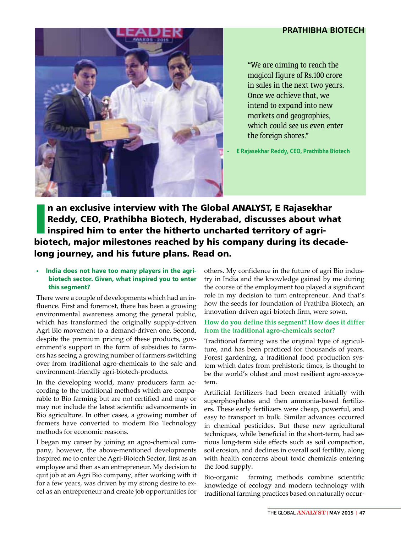## **PRATHIBHA BIOTECH**



"We are aiming to reach the magical figure of Rs.100 crore in sales in the next two years. Once we achieve that, we intend to expand into new markets and geographies, which could see us even enter the foreign shores."

**- E Rajasekhar Reddy, CEO, Prathibha Biotech**

**I**<br>Isla n an exclusive interview with The Global ANALYST, E Rajasekhar Reddy, CEO, Prathibha Biotech, Hyderabad, discusses about what inspired him to enter the hitherto uncharted territory of agribiotech, major milestones reached by his company during its decadelong journey, and his future plans. Read on.

#### **• India does not have too many players in the agribiotech sector. Given, what inspired you to enter this segment?**

There were a couple of developments which had an influence. First and foremost, there has been a growing environmental awareness among the general public, which has transformed the originally supply-driven Agri Bio movement to a demand-driven one. Second, despite the premium pricing of these products, government's support in the form of subsidies to farmers has seeing a growing number of farmers switching over from traditional agro-chemicals to the safe and environment-friendly agri-biotech-products.

In the developing world, many producers farm according to the traditional methods which are comparable to Bio farming but are not certified and may or may not include the latest scientific advancements in Bio agriculture. In other cases, a growing number of farmers have converted to modern Bio Technology methods for economic reasons.

I began my career by joining an agro-chemical company, however, the above-mentioned developments inspired me to enter the Agri-Biotech Sector, first as an employee and then as an entrepreneur. My decision to quit job at an Agri Bio company, after working with it for a few years, was driven by my strong desire to excel as an entrepreneur and create job opportunities for

others. My confidence in the future of agri Bio industry in India and the knowledge gained by me during the course of the employment too played a significant role in my decision to turn entrepreneur. And that's how the seeds for foundation of Prathiba Biotech, an innovation-driven agri-biotech firm, were sown.

#### **How do you define this segment? How does it differ from the traditional agro-chemicals sector?**

Traditional farming was the original type of agriculture, and has been practiced for thousands of years. Forest gardening, a traditional food production system which dates from prehistoric times, is thought to be the world's oldest and most resilient agro-ecosystem.

Artificial fertilizers had been created initially with superphosphates and then ammonia-based fertilizers. These early fertilizers were cheap, powerful, and easy to transport in bulk. Similar advances occurred in chemical pesticides. But these new agricultural techniques, while beneficial in the short-term, had serious long-term side effects such as soil compaction, soil erosion, and declines in overall soil fertility, along with health concerns about toxic chemicals entering the food supply.

Bio-organic farming methods combine scientific knowledge of ecology and modern technology with traditional farming practices based on naturally occur-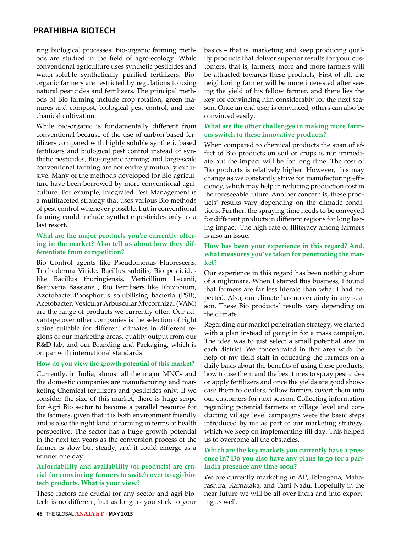## **PRATHIBHA BIOTECH**

ring biological processes. Bio-organic farming methods are studied in the field of agro-ecology. While conventional agriculture uses synthetic pesticides and water-soluble synthetically purified fertilizers, Bioorganic farmers are restricted by regulations to using natural pesticides and fertilizers. The principal methods of Bio farming include crop rotation, green manures and compost, biological pest control, and mechanical cultivation.

While Bio-organic is fundamentally different from conventional because of the use of carbon-based fertilizers compared with highly soluble synthetic based fertilizers and biological pest control instead of synthetic pesticides, Bio-organic farming and large-scale conventional farming are not entirely mutually exclusive. Many of the methods developed for Bio agriculture have been borrowed by more conventional agriculture. For example, Integrated Pest Management is a multifaceted strategy that uses various Bio methods of pest control whenever possible, but in conventional farming could include synthetic pesticides only as a last resort.

#### **What are the major products you're currently offering in the market? Also tell us about how they differentiate from competition?**

Bio Control agents like Pseudomonas Fluorescens, Trichoderma Viride, Bacillus subtilis, Bio pesticides like Bacillus thuringiensis, Verticillium Lecanii, Beauveria Bassiana , Bio Fertilisers like Rhizobium, Azotobacter,Phosphorus solubilising bacteria (PSB), Acetobacter, Vesicular Arbuscular Mycorrhizal (VAM) are the range of products we currently offer. Our advantage over other companies is the selection of right stains suitable for different climates in different regions of our marketing areas, quality output from our R&D lab, and our Branding and Packaging, which is on par with international standards.

#### **How do you view the growth potential of this market?**

Currently, in India, almost all the major MNCs and the domestic companies are manufacturing and marketing Chemical fertilizers and pesticides only. If we consider the size of this market, there is huge scope for Agri Bio sector to become a parallel resource for the farmers, given that it is both environment friendly and is also the right kind of farming in terms of health perspective. The sector has a huge growth potential in the next ten years as the conversion process of the farmer is slow but steady, and it could emerge as a winner one day.

#### **Affordability and availability (of products) are crucial for convincing farmers to switch over to agi-biotech products. What is your view?**

These factors are crucial for any sector and agri-biotech is no different, but as long as you stick to your

basics – that is, marketing and keep producing quality products that deliver superior results for your customers, that is, farmers, more and more farmers will be attracted towards these products, First of all, the neighboring farmer will be more interested after seeing the yield of his fellow farmer, and there lies the key for convincing him considerably for the next season. Once an end user is convinced, others can also be convinced easily.

#### **What are the other challenges in making more farmers switch to these innovative products?**

When compared to chemical products the span of effect of Bio products on soil or crops is not immediate but the impact will be for long time. The cost of Bio products is relatively higher. However, this may change as we constantly strive for manufacturing efficiency, which may help in reducing production cost in the foreseeable future. Another concern is, these products' results vary depending on the climatic conditions. Further, the spraying time needs to be conveyed for different products in different regions for long lasting impact. The high rate of Illiteracy among farmers is also an issue.

#### **How has been your experience in this regard? And, what measures you've taken for penetrating the market?**

Our experience in this regard has been nothing short of a nightmare. When I started this business, I found that farmers are far less literate than what I had expected. Also, our climate has no certainty in any season. These Bio products' results vary depending on the climate.

Regarding our market penetration strategy, we started with a plan instead of going in for a mass campaign. The idea was to just select a small potential area in each district. We concentrated in that area with the help of my field staff in educating the farmers on a daily basis about the benefits of using these products, how to use them and the best times to spray pesticides or apply fertilizers and once the yields are good showcase them to dealers, fellow farmers covert them into our customers for next season. Collecting information regarding potential farmers at village level and conducting village level campaigns were the basic steps introduced by me as part of our marketing strategy, which we keep on implementing till day. This helped us to overcome all the obstacles.

#### **Which are the key markets you currently have a presence in? Do you also have any plans to go for a pan-India presence any time soon?**

We are currently marketing in AP, Telangana, Maharashtra, Karnataka, and Tami Nadu. Hopefully in the near future we will be all over India and into exporting as well.